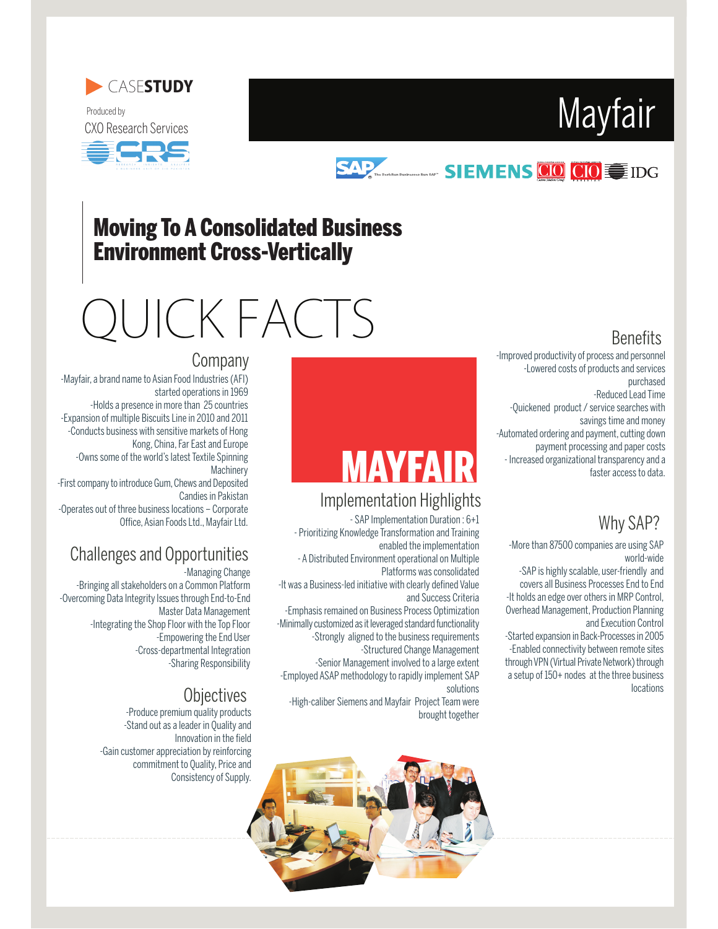







## **SAP SIEMENS CO CIO**

### Moving To A Consolidated Business Environment Cross-Vertically

# QUICK FACTS

Company

### **Benefits**

-Improved productivity of process and personnel -Lowered costs of products and services purchased

-Reduced Lead Time

-Quickened product / service searches with savings time and money -Automated ordering and payment, cutting down

payment processing and paper costs - Increased organizational transparency and a faster access to data.

#### Why SAP?

-More than 87500 companies are using SAP world-wide

-SAP is highly scalable, user-friendly and covers all Business Processes End to End -It holds an edge over others in MRP Control, Overhead Management, Production Planning and Execution Control

-Started expansion in Back-Processes in 2005 -Enabled connectivity between remote sites through VPN (Virtual Private Network) through a setup of 150+ nodes at the three business locations

# **MAYFAIR**

#### Implementation Highlights

- SAP Implementation Duration : 6+1

- Prioritizing Knowledge Transformation and Training enabled the implementation

- A Distributed Environment operational on Multiple Platforms was consolidated

-It was a Business-led initiative with clearly defined Value and Success Criteria

-Emphasis remained on Business Process Optimization -Minimally customized as it leveraged standard functionality -Strongly aligned to the business requirements -Structured Change Management

-Senior Management involved to a large extent

-Employed ASAP methodology to rapidly implement SAP solutions

-High-caliber Siemens and Mayfair Project Team were brought together

# -Mayfair, a brand name to Asian Food Industries (AFI)

started operations in 1969 -Holds a presence in more than 25 countries -Expansion of multiple Biscuits Line in 2010 and 2011 -Conducts business with sensitive markets of Hong Kong, China, Far East and Europe -Owns some of the world's latest Textile Spinning **Machinery** -First company to introduce Gum, Chews and Deposited Candies in Pakistan

-Operates out of three business locations - Corporate Office, Asian Foods Ltd., Mayfair Ltd.

### Challenges and Opportunities

-Managing Change -Bringing all stakeholders on a Common Platform -Overcoming Data Integrity Issues through End-to-End Master Data Management -Integrating the Shop Floor with the Top Floor -Empowering the End User -Cross-departmental Integration -Sharing Responsibility

#### **Objectives**

-Produce premium quality products -Stand out as a leader in Quality and Innovation in the field -Gain customer appreciation by reinforcing commitment to Quality, Price and Consistency of Supply.

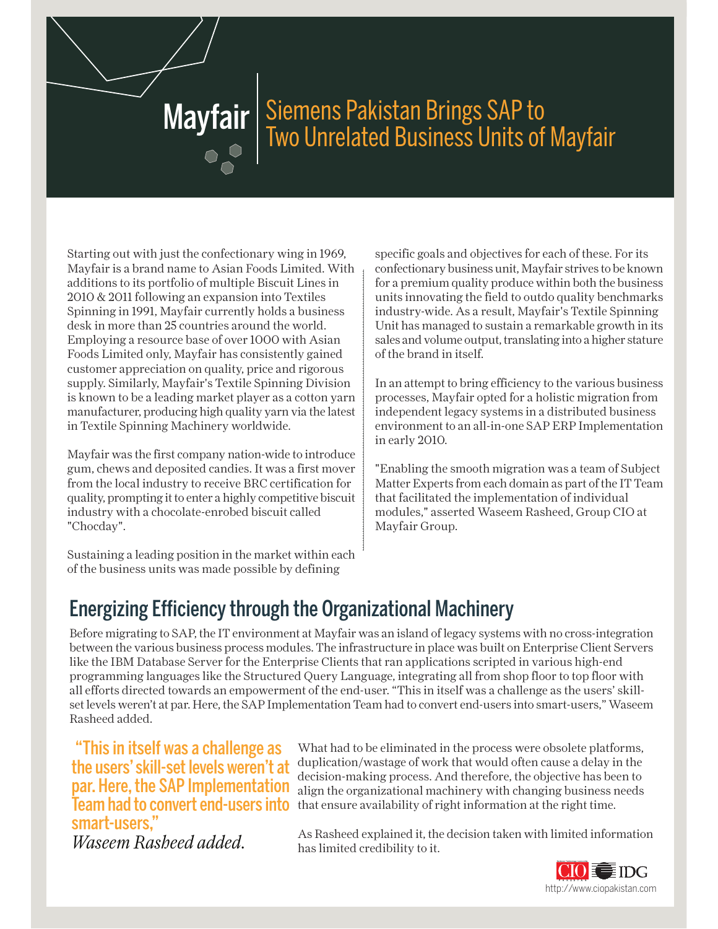# Mayfair | Siemens Pakistan Brings SAP to<br>Two Unrelated Business Units of Mayfair

Starting out with just the confectionary wing in 1969, Mayfair is a brand name to Asian Foods Limited. With additions to its portfolio of multiple Biscuit Lines in 2010 & 2011 following an expansion into Textiles Spinning in 1991, Mayfair currently holds a business desk in more than 25 countries around the world. Employing a resource base of over 1000 with Asian Foods Limited only, Mayfair has consistently gained customer appreciation on quality, price and rigorous supply. Similarly, Mayfair's Textile Spinning Division is known to be a leading market player as a cotton yarn manufacturer, producing high quality yarn via the latest in Textile Spinning Machinery worldwide.

Mayfair was the first company nation-wide to introduce gum, chews and deposited candies. It was a first mover from the local industry to receive BRC certification for quality, prompting it to enter a highly competitive biscuit industry with a chocolate-enrobed biscuit called "Chocday".

Sustaining a leading position in the market within each of the business units was made possible by defining

specific goals and objectives for each of these. For its confectionary business unit, Mayfair strives to be known for a premium quality produce within both the business units innovating the field to outdo quality benchmarks industry-wide. As a result, Mayfair's Textile Spinning Unit has managed to sustain a remarkable growth in its sales and volume output, translating into a higher stature of the brand in itself.

In an attempt to bring efficiency to the various business processes, Mayfair opted for a holistic migration from independent legacy systems in a distributed business environment to an all-in-one SAP ERP Implementation in early 2010.

"Enabling the smooth migration was a team of Subject Matter Experts from each domain as part of the IT Team that facilitated the implementation of individual modules," asserted Waseem Rasheed, Group CIO at Mayfair Group.

## Energizing Efficiency through the Organizational Machinery

Before migrating to SAP, the IT environment at Mayfair was an island of legacy systems with no cross-integration between the various business process modules. The infrastructure in place was built on Enterprise Client Servers like the IBM Database Server for the Enterprise Clients that ran applications scripted in various high-end programming languages like the Structured Query Language, integrating all from shop floor to top floor with all efforts directed towards an empowerment of the end-user. "This in itself was a challenge as the users' skillset levels weren't at par. Here, the SAP Implementation Team had to convert end-users into smart-users," Waseem Rasheed added.

This in itself was a challenge as the users' skill-set levels weren't at par. Here, the SAP Implementation smart-users, *Waseem Rasheed added.*

What had to be eliminated in the process were obsolete platforms, duplication/wastage of work that would often cause a delay in the decision-making process. And therefore, the objective has been to align the organizational machinery with changing business needs Team had to convert end-users into that ensure availability of right information at the right time.

> As Rasheed explained it, the decision taken with limited information has limited credibility to it.

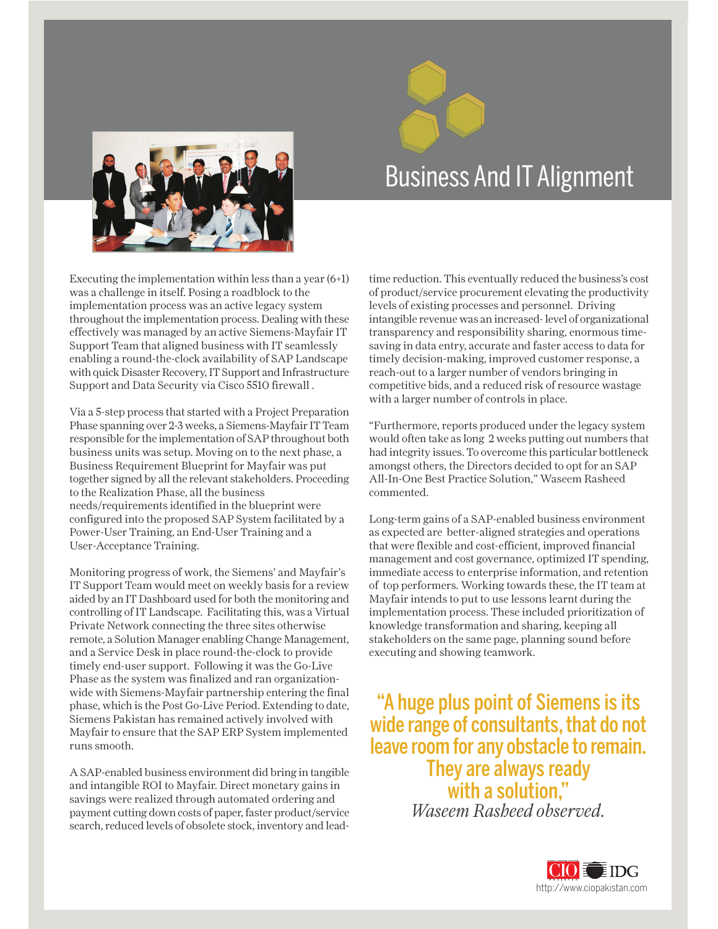

# Business And IT Alignment

Executing the implementation within less than a year (6+1) was a challenge in itself. Posing a roadblock to the implementation process was an active legacy system throughout the implementation process. Dealing with these effectively was managed by an active Siemens-Mayfair IT Support Team that aligned business with IT seamlessly enabling a round-the-clock availability of SAP Landscape with quick Disaster Recovery, IT Support and Infrastructure Support and Data Security via Cisco 5510 firewall .

Via a 5-step process that started with a Project Preparation Phase spanning over 2-3 weeks, a Siemens-Mayfair IT Team responsible for the implementation of SAP throughout both business units was setup. Moving on to the next phase, a Business Requirement Blueprint for Mayfair was put together signed by all the relevant stakeholders. Proceeding to the Realization Phase, all the business needs/requirements identified in the blueprint were configured into the proposed SAP System facilitated by a Power-User Training, an End-User Training and a User-Acceptance Training.

Monitoring progress of work, the Siemens' and Mayfair's IT Support Team would meet on weekly basis for a review aided by an IT Dashboard used for both the monitoring and controlling of IT Landscape. Facilitating this, was a Virtual Private Network connecting the three sites otherwise remote, a Solution Manager enabling Change Management, and a Service Desk in place round-the-clock to provide timely end-user support. Following it was the Go-Live Phase as the system was finalized and ran organizationwide with Siemens-Mayfair partnership entering the final phase, which is the Post Go-Live Period. Extending to date, Siemens Pakistan has remained actively involved with Mayfair to ensure that the SAP ERP System implemented runs smooth.

A SAP-enabled business environment did bring in tangible and intangible ROI to Mayfair. Direct monetary gains in savings were realized through automated ordering and payment cutting down costs of paper, faster product/service search, reduced levels of obsolete stock, inventory and leadtime reduction. This eventually reduced the business's cost of product/service procurement elevating the productivity levels of existing processes and personnel. Driving intangible revenue was an increased- level of organizational transparency and responsibility sharing, enormous timesaving in data entry, accurate and faster access to data for timely decision-making, improved customer response, a reach-out to a larger number of vendors bringing in competitive bids, and a reduced risk of resource wastage with a larger number of controls in place.

Furthermore, reports produced under the legacy system would often take as long 2 weeks putting out numbers that had integrity issues. To overcome this particular bottleneck amongst others, the Directors decided to opt for an SAP All-In-One Best Practice Solution," Waseem Rasheed commented.

Long-term gains of a SAP-enabled business environment as expected are better-aligned strategies and operations that were flexible and cost-efficient, improved financial management and cost governance, optimized IT spending, immediate access to enterprise information, and retention of top performers. Working towards these, the IT team at Mayfair intends to put to use lessons learnt during the implementation process. These included prioritization of knowledge transformation and sharing, keeping all stakeholders on the same page, planning sound before executing and showing teamwork.

A huge plus point of Siemens is its wide range of consultants, that do not leave room for any obstacle to remain. They are always ready with a solution, *Waseem Rasheed observed.*